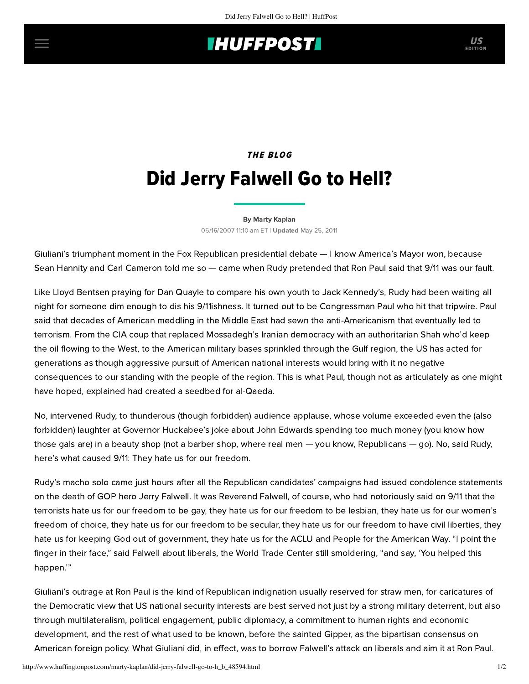## **INUFFPOST**

# THE BLOG Did Jerry Falwell Go to Hell?

#### [By Marty Kaplan](http://www.huffingtonpost.com/author/marty-kaplan)

05/16/2007 11:10 am ET | Updated May 25, 2011

Giuliani's triumphant moment in the Fox Republican presidential debate — I know America's Mayor won, because Sean Hannity and Carl Cameron told me so — came when Rudy pretended that Ron Paul said that 9/11 was our fault.

Like Lloyd Bentsen praying for Dan Quayle to compare his own youth to Jack Kennedy's, Rudy had been waiting all night for someone dim enough to dis his 9/11ishness. It turned out to be Congressman Paul who hit that tripwire. Paul said that decades of American meddling in the Middle East had sewn the anti-Americanism that eventually led to terrorism. From the CIA coup that replaced Mossadegh's Iranian democracy with an authoritarian Shah who'd keep the oil flowing to the West, to the American military bases sprinkled through the Gulf region, the US has acted for generations as though aggressive pursuit of American national interests would bring with it no negative consequences to our standing with the people of the region. This is what Paul, though not as articulately as one might have hoped, explained had created a seedbed for al-Qaeda.

No, intervened Rudy, to thunderous (though forbidden) audience applause, whose volume exceeded even the (also forbidden) laughter at Governor Huckabee's joke about John Edwards spending too much money (you know how those gals are) in a beauty shop (not a barber shop, where real men — you know, Republicans — go). No, said Rudy, here's what caused 9/11: They hate us for our freedom.

Rudy's macho solo came just hours after all the Republican candidates' campaigns had issued condolence statements on the death of GOP hero Jerry Falwell. It was Reverend Falwell, of course, who had notoriously said on 9/11 that the terrorists hate us for our freedom to be gay, they hate us for our freedom to be lesbian, they hate us for our women's freedom of choice, they hate us for our freedom to be secular, they hate us for our freedom to have civil liberties, they hate us for keeping God out of government, they hate us for the ACLU and People for the American Way. "I point the finger in their face," said Falwell about liberals, the World Trade Center still smoldering, "and say, 'You helped this happen.'"

Giuliani's outrage at Ron Paul is the kind of Republican indignation usually reserved for straw men, for caricatures of the Democratic view that US national security interests are best served not just by a strong military deterrent, but also through multilateralism, political engagement, public diplomacy, a commitment to human rights and economic development, and the rest of what used to be known, before the sainted Gipper, as the bipartisan consensus on American foreign policy. What Giuliani did, in effect, was to borrow Falwell's attack on liberals and aim it at Ron Paul.